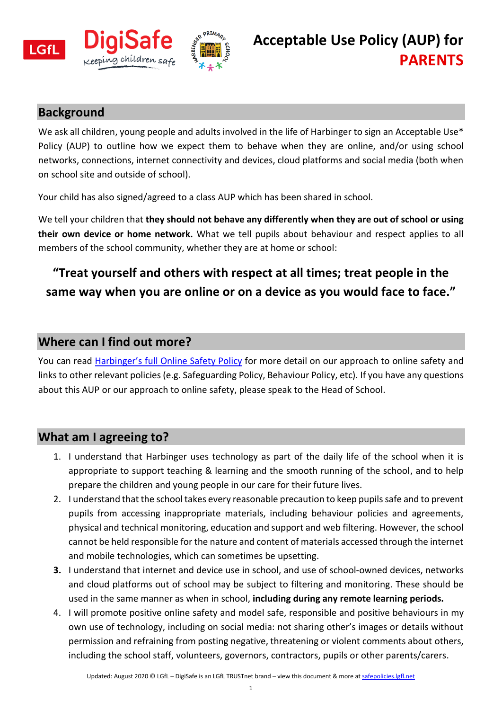

### **Background**

We ask all children, young people and adults involved in the life of Harbinger to sign an Acceptable Use\* Policy (AUP) to outline how we expect them to behave when they are online, and/or using school networks, connections, internet connectivity and devices, cloud platforms and social media (both when on school site and outside of school).

Your child has also signed/agreed to a class AUP which has been shared in school.

We tell your children that **they should not behave any differently when they are out of school or using their own device or home network.** What we tell pupils about behaviour and respect applies to all members of the school community, whether they are at home or school:

## **"Treat yourself and others with respect at all times; treat people in the same way when you are online or on a device as you would face to face."**

#### **Where can I find out more?**

You can read Harbinger['s full Online Safety Policy](https://www.harbingerschool.co.uk/files/policies/32/Online%20Safety%20Policy%20for%20Harbinger%20Sept%202020-21.pdf) for more detail on our approach to online safety and links to other relevant policies (e.g. Safeguarding Policy, Behaviour Policy, etc). If you have any questions about this AUP or our approach to online safety, please speak to the Head of School.

#### **What am I agreeing to?**

- 1. I understand that Harbinger uses technology as part of the daily life of the school when it is appropriate to support teaching & learning and the smooth running of the school, and to help prepare the children and young people in our care for their future lives.
- 2. I understand that the school takes every reasonable precaution to keep pupils safe and to prevent pupils from accessing inappropriate materials, including behaviour policies and agreements, physical and technical monitoring, education and support and web filtering. However, the school cannot be held responsible for the nature and content of materials accessed through the internet and mobile technologies, which can sometimes be upsetting.
- **3.** I understand that internet and device use in school, and use of school-owned devices, networks and cloud platforms out of school may be subject to filtering and monitoring. These should be used in the same manner as when in school, **including during any remote learning periods.**
- 4. I will promote positive online safety and model safe, responsible and positive behaviours in my own use of technology, including on social media: not sharing other's images or details without permission and refraining from posting negative, threatening or violent comments about others, including the school staff, volunteers, governors, contractors, pupils or other parents/carers.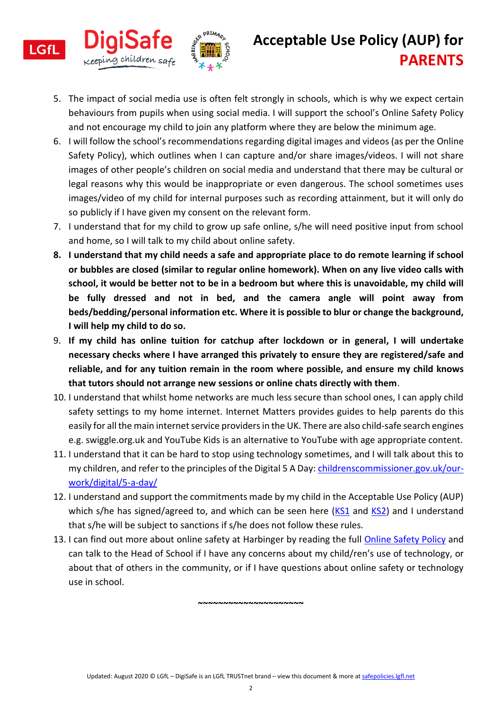

**LGfL** 

# **Acceptable Use Policy (AUP) for PARENTS**

- 5. The impact of social media use is often felt strongly in schools, which is why we expect certain behaviours from pupils when using social media. I will support the school's Online Safety Policy and not encourage my child to join any platform where they are below the minimum age.
- 6. I will follow the school's recommendations regarding digital images and videos (as per the Online Safety Policy), which outlines when I can capture and/or share images/videos. I will not share images of other people's children on social media and understand that there may be cultural or legal reasons why this would be inappropriate or even dangerous. The school sometimes uses images/video of my child for internal purposes such as recording attainment, but it will only do so publicly if I have given my consent on the relevant form.
- 7. I understand that for my child to grow up safe online, s/he will need positive input from school and home, so I will talk to my child about online safety.
- **8. I understand that my child needs a safe and appropriate place to do remote learning if school or bubbles are closed (similar to regular online homework). When on any live video calls with school, it would be better not to be in a bedroom but where this is unavoidable, my child will be fully dressed and not in bed, and the camera angle will point away from beds/bedding/personal information etc. Where it is possible to blur or change the background, I will help my child to do so.**
- 9. **If my child has online tuition for catchup after lockdown or in general, I will undertake necessary checks where I have arranged this privately to ensure they are registered/safe and reliable, and for any tuition remain in the room where possible, and ensure my child knows that tutors should not arrange new sessions or online chats directly with them**.
- 10. I understand that whilst home networks are much less secure than school ones, I can apply child safety settings to my home internet. Internet Matters provides guides to help parents do this easily for all the main internet service providers in the UK. There are also child-safe search engines e.g. swiggle.org.uk and YouTube Kids is an alternative to YouTube with age appropriate content.
- 11. I understand that it can be hard to stop using technology sometimes, and I will talk about this to my children, and refer to the principles of the Digital 5 A Day: [childrenscommissioner.gov.uk/our](https://www.childrenscommissioner.gov.uk/our-work/digital/5-a-day/)[work/digital/5-a-day/](https://www.childrenscommissioner.gov.uk/our-work/digital/5-a-day/)
- 12. I understand and support the commitments made by my child in the Acceptable Use Policy (AUP) which s/he has signed/agreed to, and which can be seen here  $(KS1)$  $(KS1)$  and  $KS2$ ) and I understand that s/he will be subject to sanctions if s/he does not follow these rules.
- 13. I can find out more about online safety at Harbinger by reading the full [Online Safety Policy](https://www.harbingerschool.co.uk/files/policies/32/Online%20Safety%20Policy%20for%20Harbinger%20Sept%202020-21.pdf) and can talk to the Head of School if I have any concerns about my child/ren's use of technology, or about that of others in the community, or if I have questions about online safety or technology use in school.

**~~~~~~~~~~~~~~~~~~~~~**